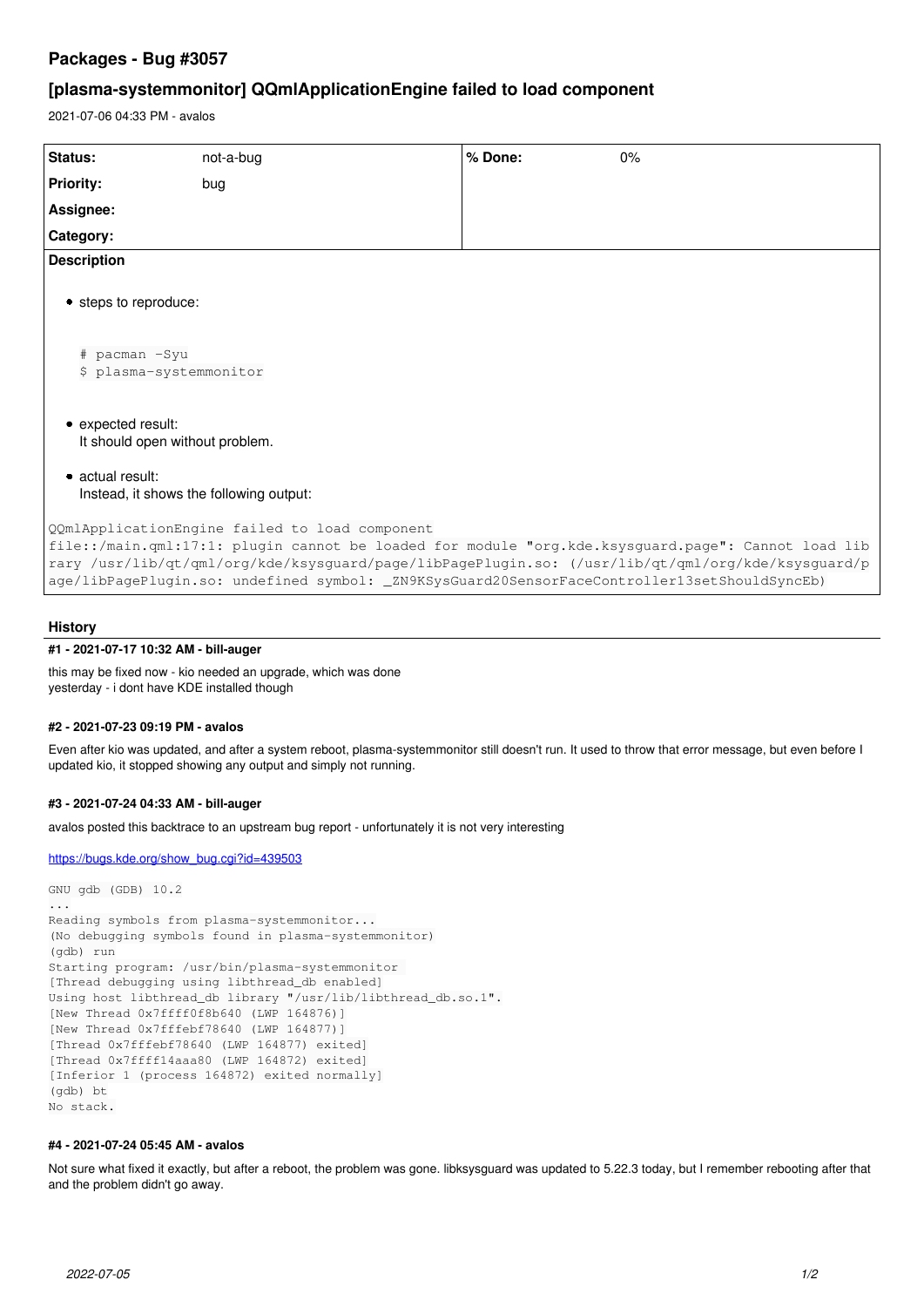# **Packages - Bug #3057**

# **[plasma-systemmonitor] QQmlApplicationEngine failed to load component**

2021-07-06 04:33 PM - avalos

| Status:                                                                                                                                                                                                                                                                                                                                                     | not-a-bug | % Done: | 0% |
|-------------------------------------------------------------------------------------------------------------------------------------------------------------------------------------------------------------------------------------------------------------------------------------------------------------------------------------------------------------|-----------|---------|----|
| <b>Priority:</b>                                                                                                                                                                                                                                                                                                                                            | bug       |         |    |
| Assignee:                                                                                                                                                                                                                                                                                                                                                   |           |         |    |
| Category:                                                                                                                                                                                                                                                                                                                                                   |           |         |    |
| <b>Description</b>                                                                                                                                                                                                                                                                                                                                          |           |         |    |
| • steps to reproduce:                                                                                                                                                                                                                                                                                                                                       |           |         |    |
| # pacman -Syu<br>\$ plasma-systemmonitor                                                                                                                                                                                                                                                                                                                    |           |         |    |
| • expected result:<br>It should open without problem.                                                                                                                                                                                                                                                                                                       |           |         |    |
| • actual result:<br>Instead, it shows the following output:                                                                                                                                                                                                                                                                                                 |           |         |    |
| QQmlApplicationEngine failed to load component<br>file::/main.qml:17:1: plugin cannot be loaded for module "org.kde.ksysguard.page": Cannot load lib<br>rary /usr/lib/qt/qml/org/kde/ksysguard/page/libPagePlugin.so: (/usr/lib/qt/qml/org/kde/ksysguard/p<br>age/libPagePlugin.so: undefined symbol: _ZN9KSysGuard20SensorFaceController13setShouldSyncEb) |           |         |    |

#### **History**

#### **#1 - 2021-07-17 10:32 AM - bill-auger**

this may be fixed now - kio needed an upgrade, which was done yesterday - i dont have KDE installed though

#### **#2 - 2021-07-23 09:19 PM - avalos**

Even after kio was updated, and after a system reboot, plasma-systemmonitor still doesn't run. It used to throw that error message, but even before I updated kio, it stopped showing any output and simply not running.

### **#3 - 2021-07-24 04:33 AM - bill-auger**

avalos posted this backtrace to an upstream bug report - unfortunately it is not very interesting

[https://bugs.kde.org/show\\_bug.cgi?id=439503](https://bugs.kde.org/show_bug.cgi?id=439503)

```
GNU gdb (GDB) 10.2
...
Reading symbols from plasma-systemmonitor...
(No debugging symbols found in plasma-systemmonitor)
(gdb) run
Starting program: /usr/bin/plasma-systemmonitor 
[Thread debugging using libthread_db enabled]
Using host libthread db library "/usr/lib/libthread db.so.1".
[New Thread 0x7ffff0f8b640 (LWP 164876)]
[New Thread 0x7fffebf78640 (LWP 164877)]
[Thread 0x7fffebf78640 (LWP 164877) exited]
[Thread 0x7ffff14aaa80 (LWP 164872) exited]
[Inferior 1 (process 164872) exited normally]
(gdb) bt
No stack.
```
### **#4 - 2021-07-24 05:45 AM - avalos**

Not sure what fixed it exactly, but after a reboot, the problem was gone. libksysguard was updated to 5.22.3 today, but I remember rebooting after that and the problem didn't go away.